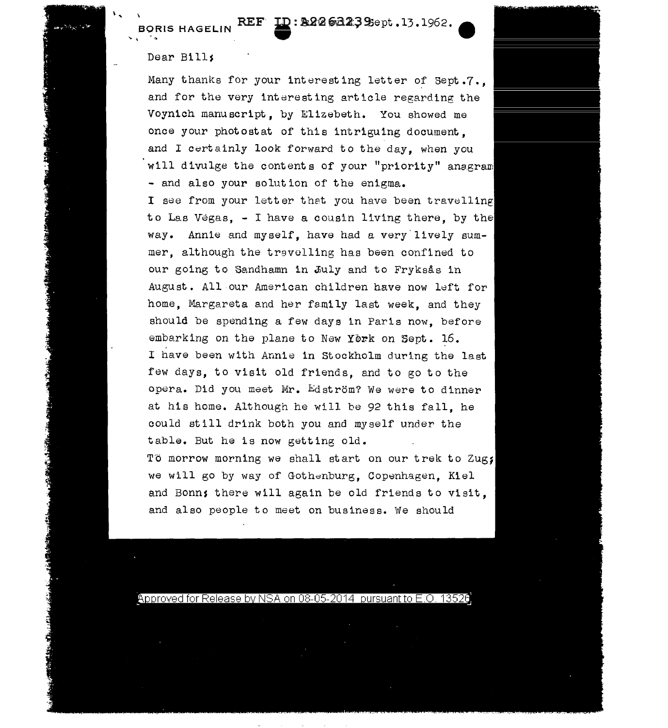## REF **ID: A2263239**Sept .13.1962.

## Dear Bills

**BORIS HAGELIN** 

 $\ddot{\phantom{0}}$ 

Many thanks for your interesting letter of Sept.7.. and for the very interesting article regarding the Voyn1ch manuscript, by Elizebeth. You showed me once your photostat of this intriguing document. and I certainly look forward to the day, when you will divulge the contents of your "priority" anegram - and also your solution of the enigma. I see from your letter that you have been travelling to Las Vegas, - <sup>I</sup>have a cousin living there, by the way. Annie and myself, have had a very lively summer, although the travolling has been confined to our going to Sandhamn in July and to Fryksås in August. All our American children have now left for home. Margareta and her family last week, and they should be spending a few days in Paris now, before embarking on the plane to New York on Sept. 16. I have been with Annie in Stockholm during the last few days, to visit old friends, and to go to the opera. Did you meet Mr. Edström? We were to dinner at his home. Although he will be 92 this fall, he could still drink both you and myself under the table. But he is now getting old. To morrow morning we shall start on our trek to Zug; we will go by way of Gothenburg. Copenhagen. Kiel and Bonn; there will again be old friends to visit. and also people to meet on business. We should

Approved for Release by NSA on 08-05-2014 pursuant to E.O. 13526